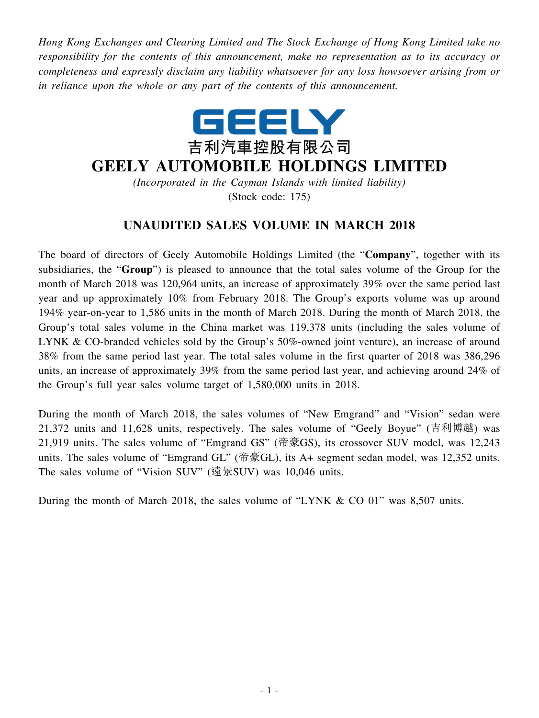*Hong Kong Exchanges and Clearing Limited and The Stock Exchange of Hong Kong Limited take no responsibility for the contents of this announcement, make no representation as to its accuracy or completeness and expressly disclaim any liability whatsoever for any loss howsoever arising from or in reliance upon the whole or any part of the contents of this announcement.*



## **GEELY AUTOMOBILE HOLDINGS LIMITED**

*(Incorporated in the Cayman Islands with limited liability)* (Stock code: 175)

## **UNAUDITED SALES VOLUME IN MARCH 2018**

The board of directors of Geely Automobile Holdings Limited (the "**Company**", together with its subsidiaries, the "**Group**") is pleased to announce that the total sales volume of the Group for the month of March 2018 was 120,964 units, an increase of approximately 39% over the same period last year and up approximately 10% from February 2018. The Group's exports volume was up around 194% year-on-year to 1,586 units in the month of March 2018. During the month of March 2018, the Group's total sales volume in the China market was 119,378 units (including the sales volume of LYNK & CO-branded vehicles sold by the Group's 50%-owned joint venture), an increase of around 38% from the same period last year. The total sales volume in the first quarter of 2018 was 386,296 units, an increase of approximately 39% from the same period last year, and achieving around 24% of the Group's full year sales volume target of 1,580,000 units in 2018.

During the month of March 2018, the sales volumes of "New Emgrand" and "Vision" sedan were 21,372 units and 11,628 units, respectively. The sales volume of "Geely Boyue" (吉利博越) was 21,919 units. The sales volume of "Emgrand GS" (帝豪GS), its crossover SUV model, was 12,243 units. The sales volume of "Emgrand GL" (帝豪GL), its A+ segment sedan model, was 12,352 units. The sales volume of "Vision SUV" (遠景SUV) was 10,046 units.

During the month of March 2018, the sales volume of "LYNK & CO 01" was 8,507 units.